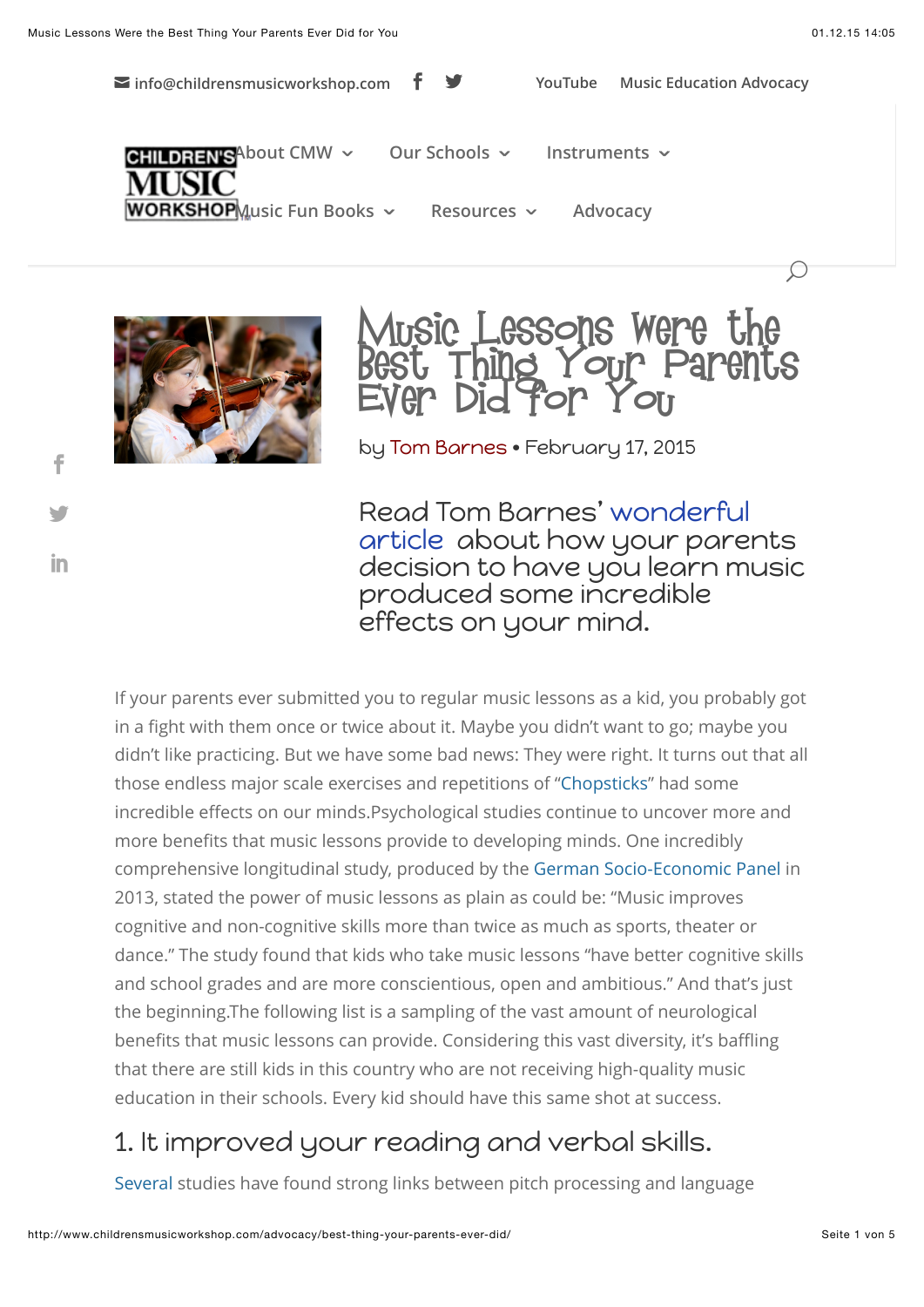$\mathcal{L}$ 

**[A](http://www.childrensmusicworkshop.com/)PILDRENS**A[bout CMW](http://www.childrensmusicworkshop.com/cmw/)  $\sim$  [Our Schools](http://www.childrensmusicworkshop.com/schools/)  $\sim$  [Instruments](http://www.childrensmusicworkshop.com/instruments/)  $\sim$ **ORKSHOPM**usic Fun Books  $\sim$  [Resources](http://www.childrensmusicworkshop.com/resources/)  $\sim$  [Advocacy](http://www.childrensmusicworkshop.com/advocacy/) **[info@childrensmusicworkshop.com](mailto:info@childrensmusicworkshop.com) [YouTube](http://www.youtube.com/schoolmusic) [Music Education Advocacy](http://www.childrensmusicworkshop.com/advocacy/)**



[!](http://www.facebook.com/sharer.php?u=http%3A%2F%2Fwww.childrensmusicworkshop.com%2Fadvocacy%2Fbest-thing-your-parents-ever-did%2F&t=Science%20Proves%20that%20Music%20Lessons%20Were%20the%20Best%20Thing%20Your%20Parents%20Ever%20Did%20for%20You)

["](http://twitter.com/share?text=Science%20Proves%20that%20Music%20Lessons%20Were%20the%20Best%20Thing%20Your%20Parents%20Ever%20Did%20for%20You&url=http%3A%2F%2Fwww.childrensmusicworkshop.com%2Fadvocacy%2Fbest-thing-your-parents-ever-did%2F&via=musicworkshop)

in



by [Tom Barnes](http://mic.com/profiles/18037/tom-barnes) • February 17, 2015

[Read Tom Barnes' wonderful](http://mic.com/articles/110628/13-scientific-studies-prove-music-lessons-were-the-best-thing-your-parents-did-for-you) article about how your parents decision to have you learn music produced some incredible effects on your mind.

If your parents ever submitted you to regular music lessons as a kid, you probably got in a fight with them once or twice about it. Maybe you didn't want to go; maybe you didn't like practicing. But we have some bad news: They were right. It turns out that all those endless major scale exercises and repetitions of ["Chopsticks](https://www.youtube.com/watch?v=hnLl0OMuDX0)" had some incredible effects on our minds.Psychological studies continue to uncover more and more benefits that music lessons provide to developing minds. One incredibly comprehensive longitudinal study, produced by th[e German Socio-Economic Panel](http://www.diw.de/documents/publikationen/73/diw_01.c.429221.de/diw_sp0591.pdf) in 2013, stated the power of music lessons as plain as could be: "Music improves cognitive and non-cognitive skills more than twice as much as sports, theater or dance." The study found that kids who take music lessons "have better cognitive skills and school grades and are more conscientious, open and ambitious." And that's just the beginning.The following list is a sampling of the vast amount of neurological benefits that music lessons can provide. Considering this vast diversity, it's baffling that there are still kids in this country who are not receiving high-quality music education in their schools. Every kid should have this same shot at success.

# 1. It improved your reading and verbal skills.

[Several](http://www.ncbi.nlm.nih.gov/pubmed/17943015) studies have found strong links between pitch processing and language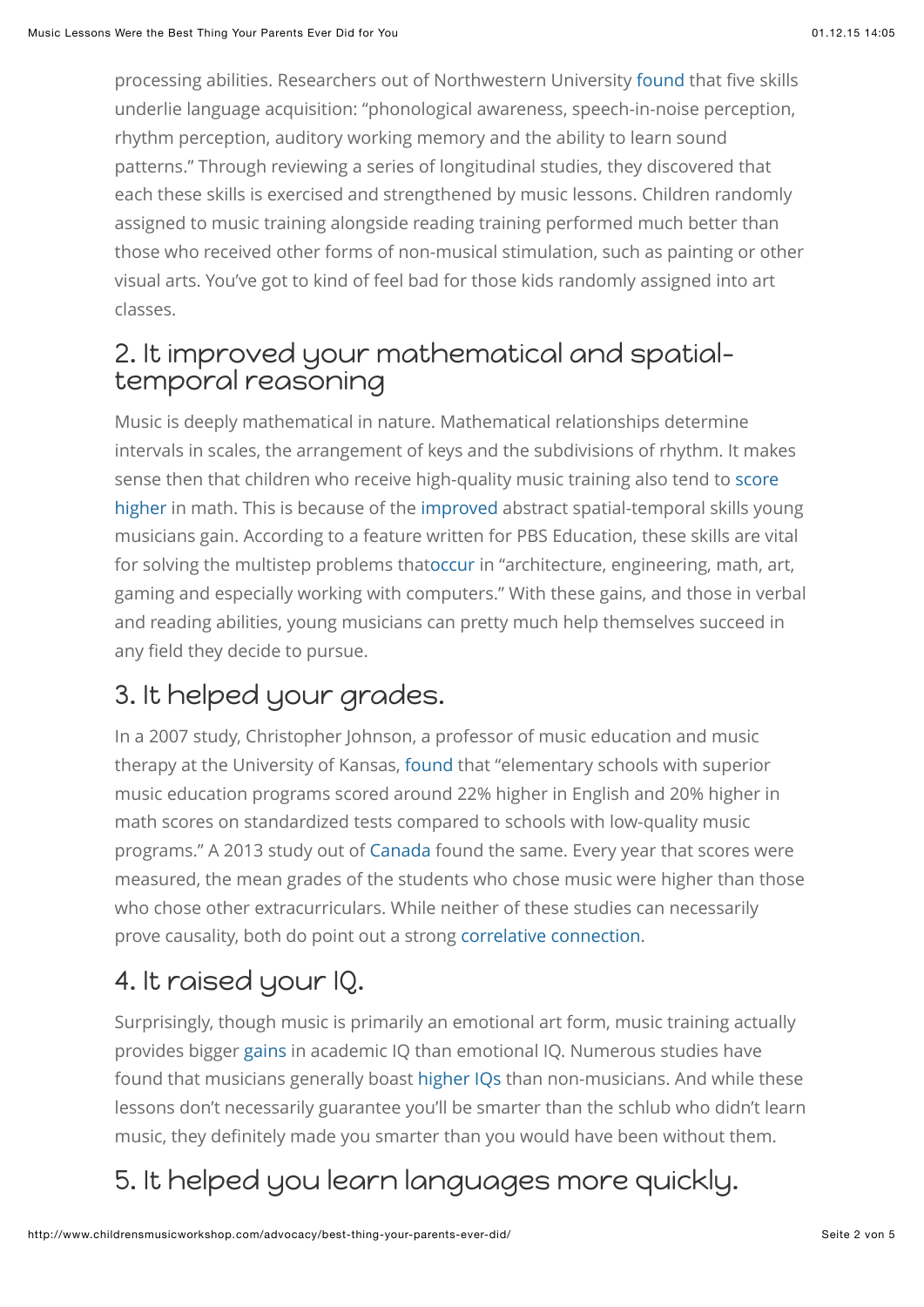processing abilities. Researchers out of Northwestern University [found](http://www.brainvolts.northwestern.edu/documents/Tierney_Kraus_Chapter_2014.pdf) that five skills underlie language acquisition: "phonological awareness, speech-in-noise perception, rhythm perception, auditory working memory and the ability to learn sound patterns." Through reviewing a series of longitudinal studies, they discovered that each these skills is exercised and strengthened by music lessons. Children randomly assigned to music training alongside reading training performed much better than those who received other forms of non-musical stimulation, such as painting or other visual arts. You've got to kind of feel bad for those kids randomly assigned into art classes.

#### 2. It improved your mathematical and spatialtemporal reasoning

Music is deeply mathematical in nature. Mathematical relationships determine intervals in scales, the arrangement of keys and the subdivisions of rhythm. It makes [sense then that children who receive high-quality music training also tend to score](http://serendip.brynmawr.edu/exchange/node/1869#1) higher in math. This is because of the [improved](http://artsedge.kennedy-center.org/champions/pdfs/Involvmt.pdf) abstract spatial-temporal skills young musicians gain. According to a feature written for PBS Education, these skills are vital for solving the multistep problems tha[toccur](http://www.pbs.org/parents/education/music-arts/the-benefits-of-music-education/) in "architecture, engineering, math, art, gaming and especially working with computers." With these gains, and those in verbal and reading abilities, young musicians can pretty much help themselves succeed in any field they decide to pursue.

# 3. It helped your grades.

In a 2007 study, Christopher Johnson, a professor of music education and music therapy at the University of Kansas, [found](http://www.pbs.org/parents/education/music-arts/the-benefits-of-music-education/) that "elementary schools with superior music education programs scored around 22% higher in English and 20% higher in math scores on standardized tests compared to schools with low-quality music programs." A 2013 study out o[f Canada](http://www.salon.com/2013/08/27/we_should_all_become_a_band_geeks_partner/) found the same. Every year that scores were measured, the mean grades of the students who chose music were higher than those who chose other extracurriculars. While neither of these studies can necessarily prove causality, both do point out a strong [correlative connection](http://serendip.brynmawr.edu/exchange/node/1869#1).

# 4. It raised your IQ.

Surprisingly, though music is primarily an emotional art form, music training actually provides bigger [gains](http://www.jstor.org/discover/10.1525/mp.2011.29.2.185?uid=3739256&uid=2&uid=4&sid=21105346449761) in academic IQ than emotional IQ. Numerous studies have found that musicians generally boast [higher IQs](http://phys.org/news142185056.html) than non-musicians. And while these lessons don't necessarily guarantee you'll be smarter than the schlub who didn't learn music, they definitely made you smarter than you would have been without them.

# 5. It helped you learn languages more quickly.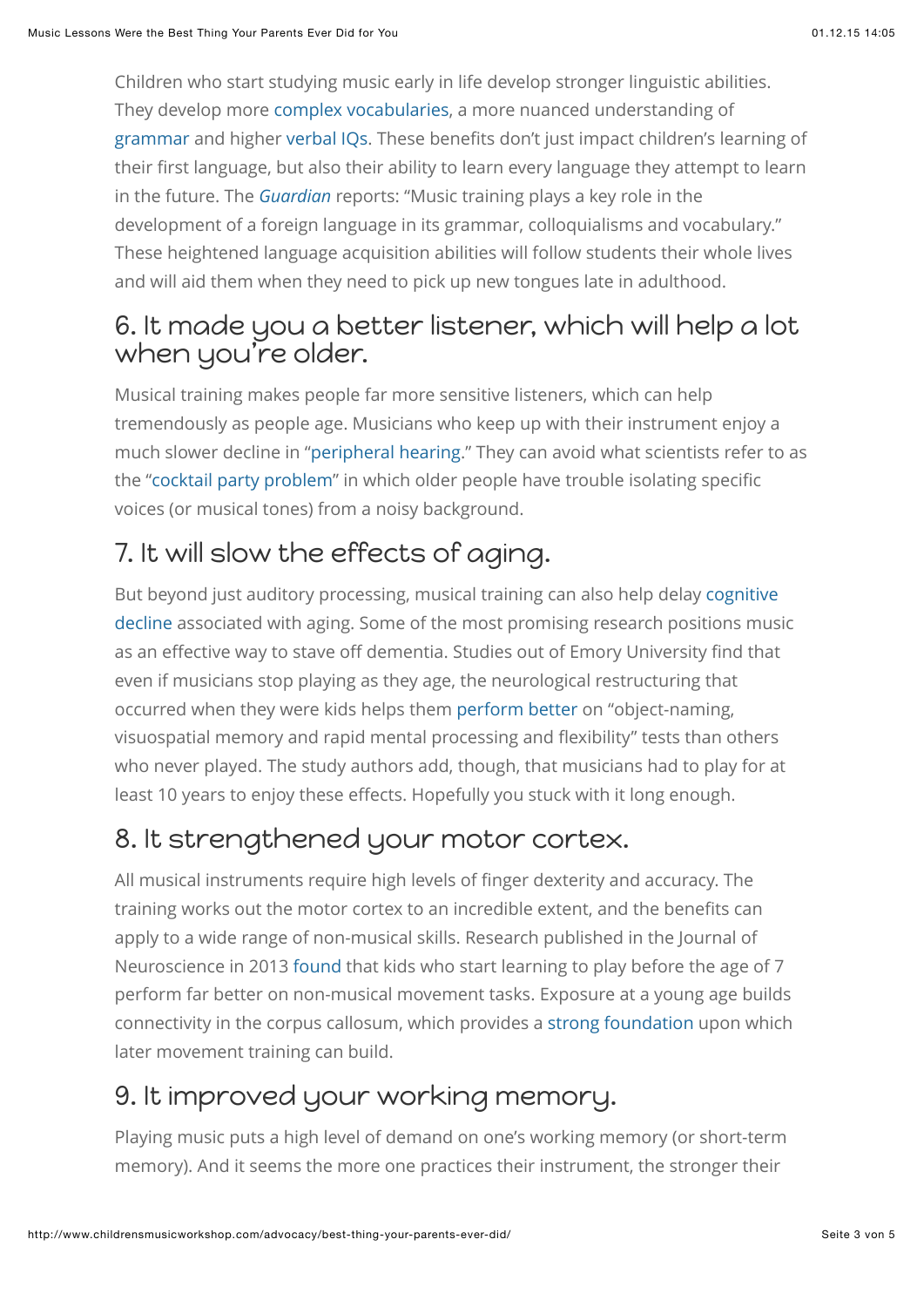Children who start studying music early in life develop stronger linguistic abilities. They develop more [complex vocabularies](http://link.springer.com/article/10.1007%2Fs12646-013-0180-3), a more nuanced understanding of [grammar](http://mste.illinois.edu/courses/ci407su02/students/stansell/Literature%20Review%201.htm) and higher [verbal IQs](http://www.ncbi.nlm.nih.gov/pmc/articles/PMC3101523/). These benefits don't just impact children's learning of their first language, but also their ability to learn every language they attempt to learn in the future. The *[Guardian](http://www.theguardian.com/education/2014/feb/27/musicians-better-language-learners)* reports: "Music training plays a key role in the development of a foreign language in its grammar, colloquialisms and vocabulary." These heightened language acquisition abilities will follow students their whole lives and will aid them when they need to pick up new tongues late in adulthood.

#### 6. It made you a better listener, which will help a lot when you're older.

Musical training makes people far more sensitive listeners, which can help tremendously as people age. Musicians who keep up with their instrument enjoy a much slower decline in ["peripheral hearing](http://www.ncbi.nlm.nih.gov/pubmed/21910546)." They can avoid what scientists refer to as the ["cocktail party problem](http://well.blogs.nytimes.com/2012/09/10/early-music-lessons-have-longtime-benefits/?_php=true&_type=blogs&_r=1)" in which older people have trouble isolating specific voices (or musical tones) from a noisy background.

# 7. It will slow the effects of aging.

[But beyond just auditory processing, musical training can also help delay cognitive](http://www.ncbi.nlm.nih.gov/pmc/articles/PMC2996135/) decline associated with aging. Some of the most promising research positions music as an effective way to stave off dementia. Studies out of Emory University find that even if musicians stop playing as they age, the neurological restructuring that occurred when they were kids helps them [perform better](http://www.cnn.com/2013/08/31/health/music-dementia-link/) on "object-naming, visuospatial memory and rapid mental processing and flexibility" tests than others who never played. The study authors add, though, that musicians had to play for at least 10 years to enjoy these effects. Hopefully you stuck with it long enough.

### 8. It strengthened your motor cortex.

All musical instruments require high levels of finger dexterity and accuracy. The training works out the motor cortex to an incredible extent, and the benefits can apply to a wide range of non-musical skills. Research published in the Journal of Neuroscience in 2013 [found](http://neurosciencenews.com/early-music-lessons-boost-brain-development/) that kids who start learning to play before the age of 7 perform far better on non-musical movement tasks. Exposure at a young age builds connectivity in the corpus callosum, which provides a [strong foundation](http://www.jneurosci.org/content/33/3/1282) upon which later movement training can build.

# 9. It improved your working memory.

Playing music puts a high level of demand on one's working memory (or short-term memory). And it seems the more one practices their instrument, the stronger their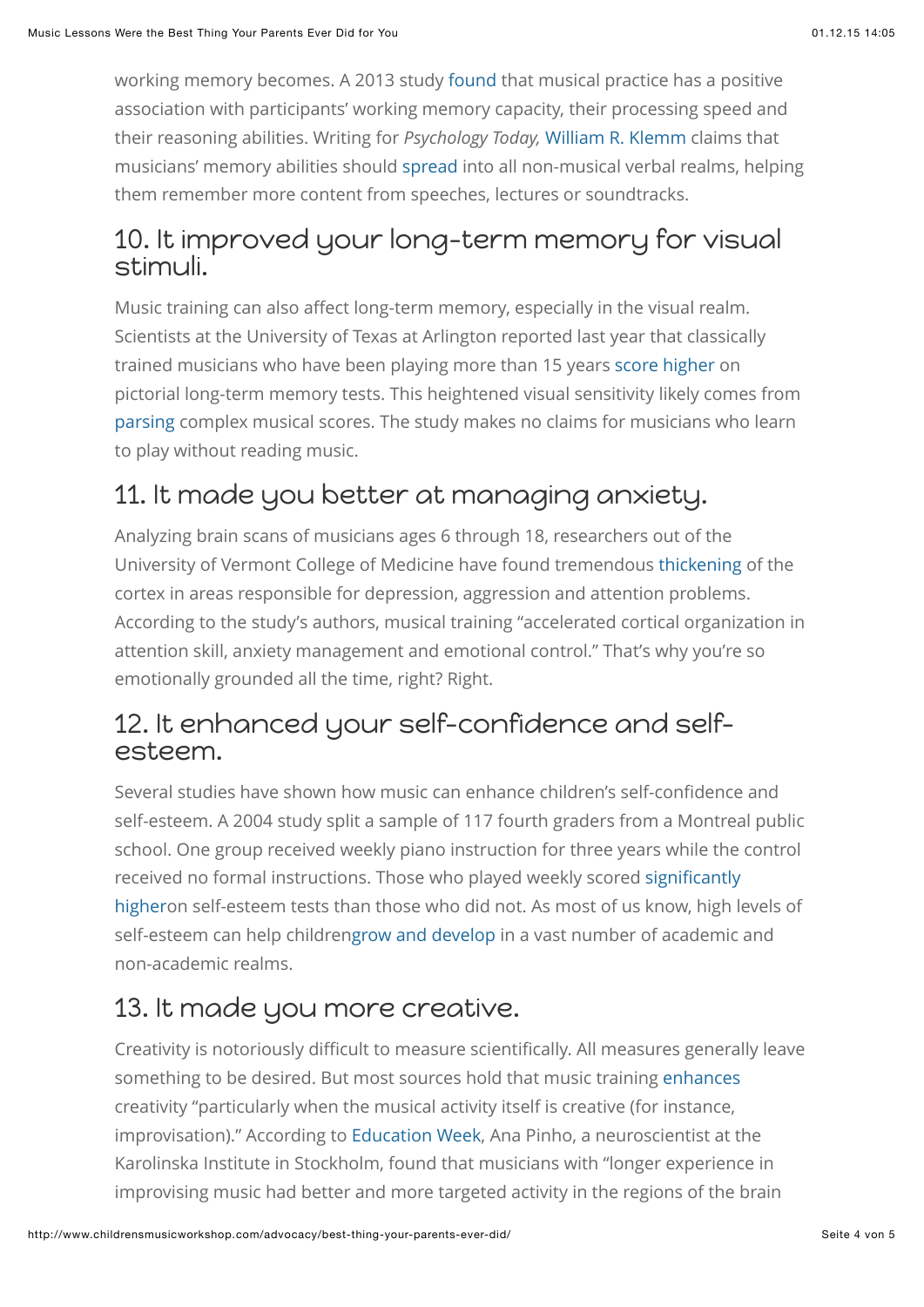working memory becomes. A 2013 study [found](http://www.ncbi.nlm.nih.gov/pmc/articles/PMC3882720/) that musical practice has a positive association with participants' working memory capacity, their processing speed and their reasoning abilities. Writing for *Psychology Today,* [William R. Klemm](https://www.psychologytoday.com/experts/william-r-klemm-phd) claims that musicians' memory abilities should [spread](https://www.psychologytoday.com/blog/memory-medic/201007/music-training-helps-learning-memory) into all non-musical verbal realms, helping them remember more content from speeches, lectures or soundtracks.

#### 10. It improved your long-term memory for visual stimuli.

Music training can also affect long-term memory, especially in the visual realm. Scientists at the University of Texas at Arlington reported last year that classically trained musicians who have been playing more than 15 years [score higher](http://mic.com/articles/104586/science-just-showed-something-amazing-about-musicians-brains) on pictorial long-term memory tests. This heightened visual sensitivity likely comes from [parsing](http://medicalxpress.com/news/2014-11-musicians-advantages-long-term-memory.html?http://www.uta.edu/news/releases/2014/11/music-memory.php) complex musical scores. The study makes no claims for musicians who learn to play without reading music.

# 11. It made you better at managing anxiety.

Analyzing brain scans of musicians ages 6 through 18, researchers out of the University of Vermont College of Medicine have found tremendous [thickening](http://www.sciencedaily.com/releases/2014/12/141223132546.htm) of the cortex in areas responsible for depression, aggression and attention problems. According to the study's authors, musical training "accelerated cortical organization in attention skill, anxiety management and emotional control." That's why you're so emotionally grounded all the time, right? Right.

#### 12. It enhanced your self-confidence and selfesteem.

Several studies have shown how music can enhance children's self-confidence and self-esteem. A 2004 study split a sample of 117 fourth graders from a Montreal public school. One group received weekly piano instruction for three years while the control received no formal instructions. Those who played weekly scored significantly [higheron self-esteem tests than those who did not. As most of us know, high l](http://www.gwern.net/docs/dnb/2004-costa-giomi.pdf)evels of self-esteem can help childre[ngrow and develop](http://www.behavioralconnections.org/poc/view_doc.php?type=doc&id=37615) in a vast number of academic and non-academic realms.

### 13. It made you more creative.

Creativity is notoriously difficult to measure scientifically. All measures generally leave something to be desired. But most sources hold that music training [enhances](http://www.laphil.com/sites/default/files/media/pdfs/shared/education/yola/susan-hallam-music-development_research.pdf) creativity "particularly when the musical activity itself is creative (for instance, improvisation)." According to [Education Week](http://www.edweek.org/ew/articles/2013/11/25/13music.h33.html), Ana Pinho, a neuroscientist at the Karolinska Institute in Stockholm, found that musicians with "longer experience in improvising music had better and more targeted activity in the regions of the brain